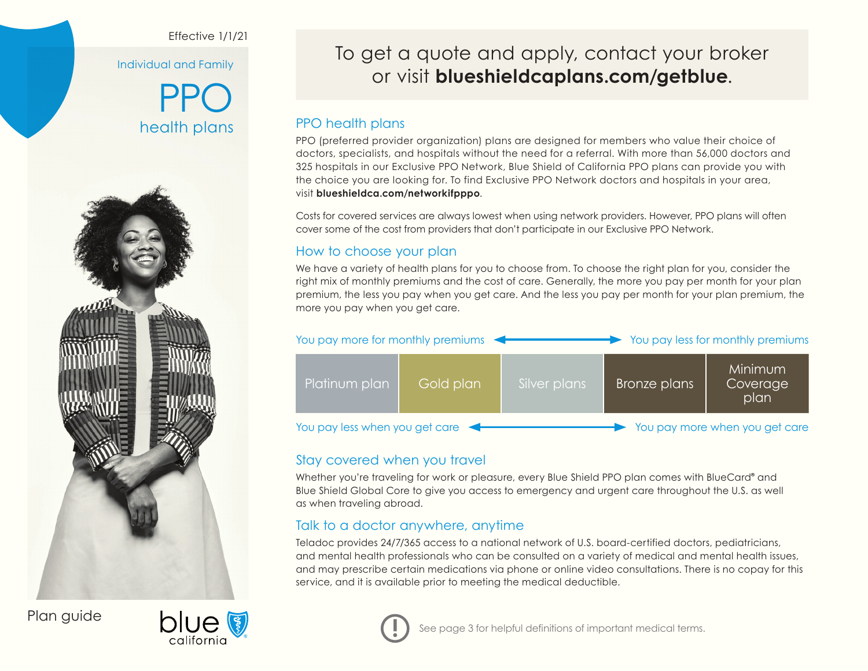### Effective 1/1/21

Individual and Family

PPO health plans



Plan guide



To get a quote and apply, contact your broker or visit **[blueshieldcaplans.com/getblue](http://www.blueshieldcaplans.com/getblue)**.

# PPO health plans

PPO (preferred provider organization) plans are designed for members who value their choice of doctors, specialists, and hospitals without the need for a referral. With more than 56,000 doctors and 325 hospitals in our Exclusive PPO Network, Blue Shield of California PPO plans can provide you with the choice you are looking for. To find Exclusive PPO Network doctors and hospitals in your area, visit **[blueshieldca.com/networkifpppo](http://www.blueshieldca.com/networkifpppo)**.

Costs for covered services are always lowest when using network providers. However, PPO plans will often cover some of the cost from providers that don't participate in our Exclusive PPO Network.

# How to choose your plan

We have a variety of health plans for you to choose from. To choose the right plan for you, consider the right mix of monthly premiums and the cost of care. Generally, the more you pay per month for your plan premium, the less you pay when you get care. And the less you pay per month for your plan premium, the more you pay when you get care.



# Stay covered when you travel

Whether you're traveling for work or pleasure, every Blue Shield PPO plan comes with BlueCard® and Blue Shield Global Core to give you access to emergency and urgent care throughout the U.S. as well as when traveling abroad.

# Talk to a doctor anywhere, anytime

Teladoc provides 24/7/365 access to a national network of U.S. board-certified doctors, pediatricians, and mental health professionals who can be consulted on a variety of medical and mental health issues, and may prescribe certain medications via phone or online video consultations. There is no copay for this service, and it is available prior to meeting the medical deductible.

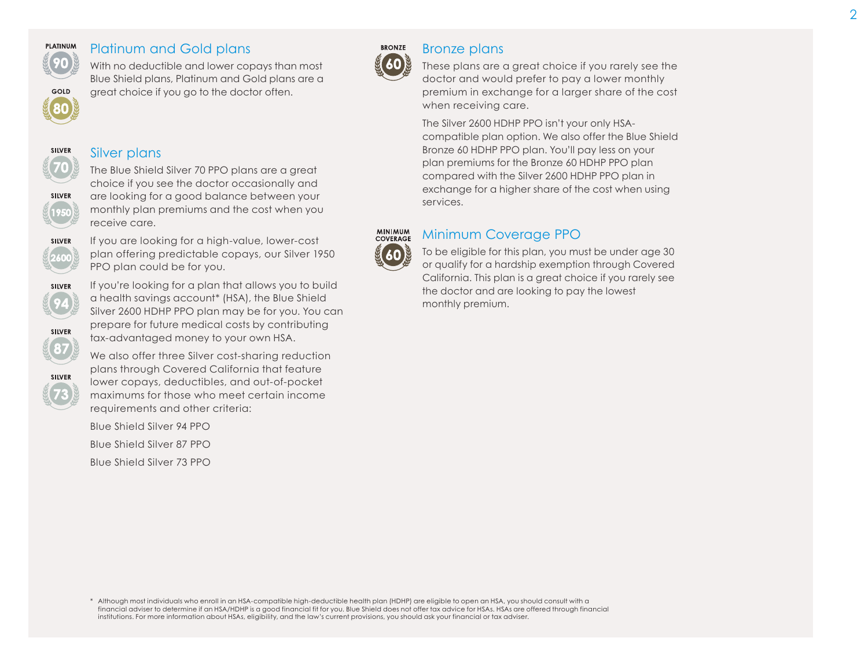

### Platinum and Gold plans

Silver plans

receive care.

With no deductible and lower copays than most Blue Shield plans, Platinum and Gold plans are a great choice if you go to the doctor often.

The Blue Shield Silver 70 PPO plans are a great choice if you see the doctor occasionally and are looking for a good balance between your monthly plan premiums and the cost when you



### Bronze plans

These plans are a great choice if you rarely see the doctor and would prefer to pay a lower monthly premium in exchange for a larger share of the cost when receiving care.

The Silver 2600 HDHP PPO isn't your only HSAcompatible plan option. We also offer the Blue Shield Bronze 60 HDHP PPO plan. You'll pay less on your plan premiums for the Bronze 60 HDHP PPO plan compared with the Silver 2600 HDHP PPO plan in exchange for a higher share of the cost when using services.

#### **MINIMUM**<br>COVERAGE Minimum Coverage PPO

To be eligible for this plan, you must be under age 30 or qualify for a hardship exemption through Covered California. This plan is a great choice if you rarely see the doctor and are looking to pay the lowest monthly premium.



**SILVER** 

If you are looking for a high-value, lower-cost plan offering predictable copays, our Silver 1950 PPO plan could be for you.



SILVER

**SILVER** 

If you're looking for a plan that allows you to build a health savings account\* (HSA), the Blue Shield Silver 2600 HDHP PPO plan may be for you. You can prepare for future medical costs by contributing tax-advantaged money to your own HSA.

We also offer three Silver cost-sharing reduction plans through Covered California that feature lower copays, deductibles, and out-of-pocket maximums for those who meet certain income requirements and other criteria:

Blue Shield Silver 94 PPO Blue Shield Silver 87 PPO Blue Shield Silver 73 PPO

\* Although most individuals who enroll in an HSA-compatible high-deductible health plan (HDHP) are eligible to open an HSA, you should consult with a financial adviser to determine if an HSA/HDHP is a good financial fit for you. Blue Shield does not offer tax advice for HSAs. HSAs are offered through financial institutions. For more information about HSAs, eligibility, and the law's current provisions, you should ask your financial or tax adviser.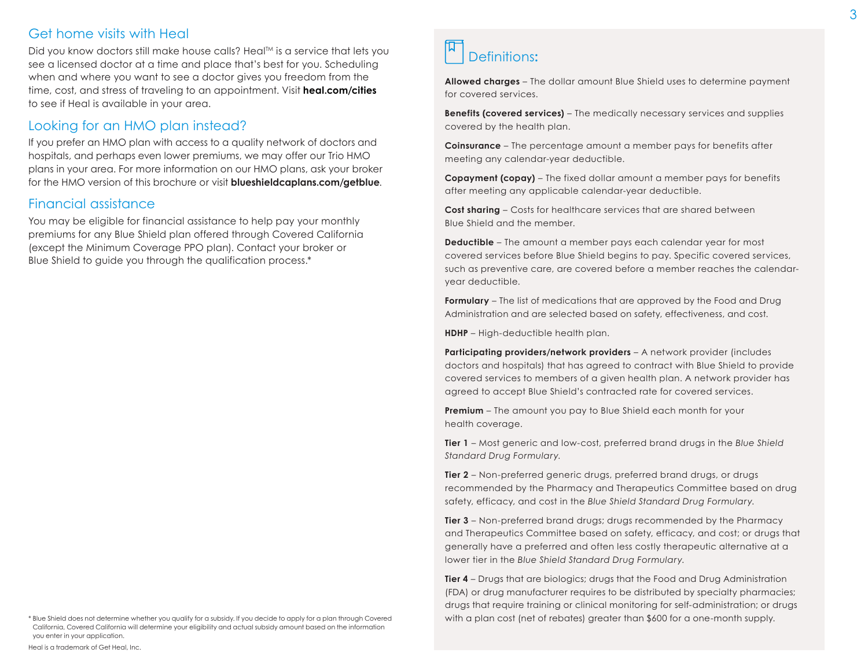### Get home visits with Heal

Did you know doctors still make house calls? Heal™ is a service that lets you see a licensed doctor at a time and place that's best for you. Scheduling when and where you want to see a doctor gives you freedom from the time, cost, and stress of traveling to an appointment. Visit **[heal.com/cities](http://www.heal.com/cities)** to see if Heal is available in your area.

### Looking for an HMO plan instead?

If you prefer an HMO plan with access to a quality network of doctors and hospitals, and perhaps even lower premiums, we may offer our Trio HMO plans in your area. For more information on our HMO plans, ask your broker for the HMO version of this brochure or visit **[blueshieldcaplans.com/getblue](http://www.blueshieldcaplans.com/getblue)**.

### Financial assistance

You may be eligible for financial assistance to help pay your monthly premiums for any Blue Shield plan offered through Covered California (except the Minimum Coverage PPO plan). Contact your broker or Blue Shield to guide you through the qualification process.\*

**Allowed charges** – The dollar amount Blue Shield uses to determine payment for covered services.

**Benefits (covered services)** – The medically necessary services and supplies covered by the health plan.

**Coinsurance** – The percentage amount a member pays for benefits after meeting any calendar-year deductible.

**Copayment (copay)** – The fixed dollar amount a member pays for benefits after meeting any applicable calendar-year deductible.

**Cost sharing** – Costs for healthcare services that are shared between Blue Shield and the member.

**Deductible** – The amount a member pays each calendar year for most covered services before Blue Shield begins to pay. Specific covered services, such as preventive care, are covered before a member reaches the calendaryear deductible.

**Formulary** – The list of medications that are approved by the Food and Drug Administration and are selected based on safety, effectiveness, and cost.

**HDHP** – High-deductible health plan.

**Participating providers/network providers** – A network provider (includes doctors and hospitals) that has agreed to contract with Blue Shield to provide covered services to members of a given health plan. A network provider has agreed to accept Blue Shield's contracted rate for covered services.

**Premium** – The amount you pay to Blue Shield each month for your health coverage.

**Tier 1** – Most generic and low-cost, preferred brand drugs in the *Blue Shield Standard Drug Formulary*.

**Tier 2** – Non-preferred generic drugs, preferred brand drugs, or drugs recommended by the Pharmacy and Therapeutics Committee based on drug safety, efficacy, and cost in the *Blue Shield Standard Drug Formulary*.

**Tier 3** – Non-preferred brand drugs; drugs recommended by the Pharmacy and Therapeutics Committee based on safety, efficacy, and cost; or drugs that generally have a preferred and often less costly therapeutic alternative at a lower tier in the *Blue Shield Standard Drug Formulary*.

**Tier 4** – Drugs that are biologics; drugs that the Food and Drug Administration (FDA) or drug manufacturer requires to be distributed by specialty pharmacies; drugs that require training or clinical monitoring for self-administration; or drugs with a plan cost (net of rebates) greater than \$600 for a one-month supply.

<sup>\*</sup> Blue Shield does not determine whether you qualify for a subsidy. If you decide to apply for a plan through Covered California, Covered California will determine your eligibility and actual subsidy amount based on the information you enter in your application.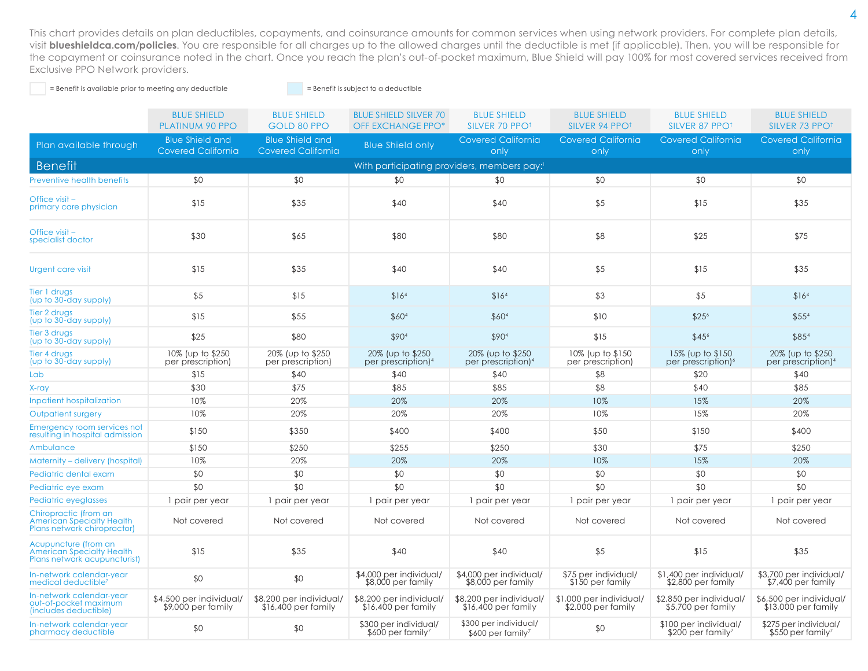This chart provides details on plan deductibles, copayments, and coinsurance amounts for common services when using network providers. For complete plan details, visit **[blueshieldca.com/policies](http://www.blueshieldca.com/policies)**. You are responsible for all charges up to the allowed charges until the deductible is met (if applicable). Then, you will be responsible for the copayment or coinsurance noted in the chart. Once you reach the plan's out-of-pocket maximum, Blue Shield will pay 100% for most covered services received from Exclusive PPO Network providers.

= Benefit is available prior to meeting any deductible = Benefit is subject to a deductible

|                                                                                          | <b>BLUE SHIELD</b><br><b>PLATINUM 90 PPO</b>        | <b>BLUE SHIELD</b><br>GOLD 80 PPO                   | <b>BLUE SHIELD SILVER 70</b><br><b>OFF EXCHANGE PPO*</b> | <b>BLUE SHIELD</b><br>SILVER 70 PPO <sup>+</sup>        | <b>BLUE SHIELD</b><br>SILVER 94 PPO <sup>1</sup> | <b>BLUE SHIELD</b><br>SILVER 87 PPO <sup>1</sup>       | <b>BLUE SHIELD</b><br>SILVER 73 PPO                 |
|------------------------------------------------------------------------------------------|-----------------------------------------------------|-----------------------------------------------------|----------------------------------------------------------|---------------------------------------------------------|--------------------------------------------------|--------------------------------------------------------|-----------------------------------------------------|
| Plan available through                                                                   | <b>Blue Shield and</b><br><b>Covered California</b> | <b>Blue Shield and</b><br><b>Covered California</b> | <b>Blue Shield only</b>                                  | <b>Covered California</b><br>only                       | <b>Covered California</b><br>only                | <b>Covered California</b><br>only                      | <b>Covered California</b><br>only                   |
| <b>Benefit</b>                                                                           |                                                     |                                                     |                                                          | With participating providers, members pay:              |                                                  |                                                        |                                                     |
| <b>Preventive health benefits</b>                                                        | \$0                                                 | \$0                                                 | \$0                                                      | \$0                                                     | \$0                                              | \$0                                                    | \$0                                                 |
| Office visit -<br>primary care physician                                                 | \$15                                                | \$35                                                | \$40                                                     | \$40                                                    | \$5                                              | \$15                                                   | \$35                                                |
| Office visit-<br>specialist doctor                                                       | \$30                                                | \$65                                                | \$80                                                     | \$80                                                    | \$8                                              | \$25                                                   | \$75                                                |
| <b>Urgent care visit</b>                                                                 | \$15                                                | \$35                                                | \$40                                                     | \$40                                                    | \$5                                              | \$15                                                   | \$35                                                |
| Tier 1 drugs<br>(up to 30-day supply)                                                    | \$5                                                 | \$15                                                | \$16 <sup>4</sup>                                        | \$16 <sup>4</sup>                                       | \$3                                              | \$5                                                    | \$16 <sup>4</sup>                                   |
| Tier 2 drugs<br>(up to 30-day supply)                                                    | \$15                                                | \$55                                                | \$604                                                    | \$604                                                   | \$10                                             | \$256                                                  | \$55 <sup>4</sup>                                   |
| Tier 3 drugs<br>(up to 30-day supply)                                                    | \$25                                                | \$80                                                | \$904                                                    | \$904                                                   | \$15                                             | \$456                                                  | \$854                                               |
| Tier 4 druas<br>(up to 30-day supply)                                                    | 10% (up to \$250<br>per prescription)               | 20% (up to \$250<br>per prescription)               | 20% (up to \$250)<br>per prescription) <sup>4</sup>      | 20% (up to \$250)<br>per prescription) <sup>4</sup>     | 10% (up to \$150<br>per prescription)            | 15% (up to \$150<br>per prescription) <sup>6</sup>     | 20% (up to \$250)<br>per prescription) <sup>4</sup> |
| Lab                                                                                      | \$15                                                | \$40                                                | \$40                                                     | \$40                                                    | \$8                                              | \$20                                                   | \$40                                                |
| X-ray                                                                                    | \$30                                                | \$75                                                | \$85                                                     | \$85                                                    | \$8                                              | \$40                                                   | \$85                                                |
| <b>Inpatient hospitalization</b>                                                         | 10%                                                 | 20%                                                 | 20%                                                      | 20%                                                     | 10%                                              | 15%                                                    | 20%                                                 |
| Outpatient surgery                                                                       | 10%                                                 | 20%                                                 | 20%                                                      | 20%                                                     | 10%                                              | 15%                                                    | 20%                                                 |
| Emergency room services not<br>resulting in hospital admission                           | \$150                                               | \$350                                               | \$400                                                    | \$400                                                   | \$50                                             | \$150                                                  | \$400                                               |
| Ambulance                                                                                | \$150                                               | \$250                                               | \$255                                                    | \$250                                                   | \$30                                             | \$75                                                   | \$250                                               |
| Maternity - delivery (hospital)                                                          | 10%                                                 | 20%                                                 | 20%                                                      | 20%                                                     | 10%                                              | 15%                                                    | 20%                                                 |
| Pediatric dental exam                                                                    | \$0                                                 | \$0                                                 | \$0                                                      | \$0                                                     | \$0                                              | \$0                                                    | \$0                                                 |
| Pediatric eye exam                                                                       | \$0                                                 | \$0                                                 | \$0                                                      | \$0                                                     | \$0                                              | \$0                                                    | \$0                                                 |
| Pediatric eyeglasses                                                                     | 1 pair per year                                     | 1 pair per year                                     | 1 pair per year                                          | 1 pair per year                                         | 1 pair per year                                  | 1 pair per year                                        | 1 pair per year                                     |
| Chiropractic (from an<br><b>American Specialty Health</b><br>Plans network chiropractor) | Not covered                                         | Not covered                                         | Not covered                                              | Not covered                                             | Not covered                                      | Not covered                                            | Not covered                                         |
| Acupuncture (from an<br><b>American Specialty Health</b><br>Plans network acupuncturist) | \$15                                                | \$35                                                | \$40                                                     | \$40                                                    | \$5                                              | \$15                                                   | \$35                                                |
| In-network calendar-year<br>medical deductible <sup>7</sup>                              | \$0                                                 | \$0                                                 | \$4,000 per individual/<br>\$8,000 per family            | \$4,000 per individual/<br>\$8,000 per family           | \$75 per individual/<br>\$150 per family         | \$1,400 per individual/<br>$$2,800$ per family         | \$3,700 per individual/<br>$$7,400$ per family      |
| In-network calendar-year<br>out-of-pocket maximum<br>(includes deductible)               | \$4,500 per individual/<br>\$9,000 per family       | \$8,200 per individual/<br>$$16,400$ per family     | \$8,200 per individual/<br>$$16,400$ per family          | \$8,200 per individual/<br>$$16,400$ per family         | \$1,000 per individual/<br>$$2,000$ per family   | \$2,850 per individual/<br>\$5,700 per family          | \$6,500 per individual/<br>\$13,000 per family      |
| In-network calendar-year<br>pharmacy deductible                                          | \$0                                                 | \$0                                                 | \$300 per individual/<br>$$600$ per family <sup>7</sup>  | \$300 per individual/<br>$$600$ per family <sup>7</sup> | \$0                                              | \$100 per individual/<br>\$200 per family <sup>7</sup> | \$275 per individual/<br>\$550 per family?          |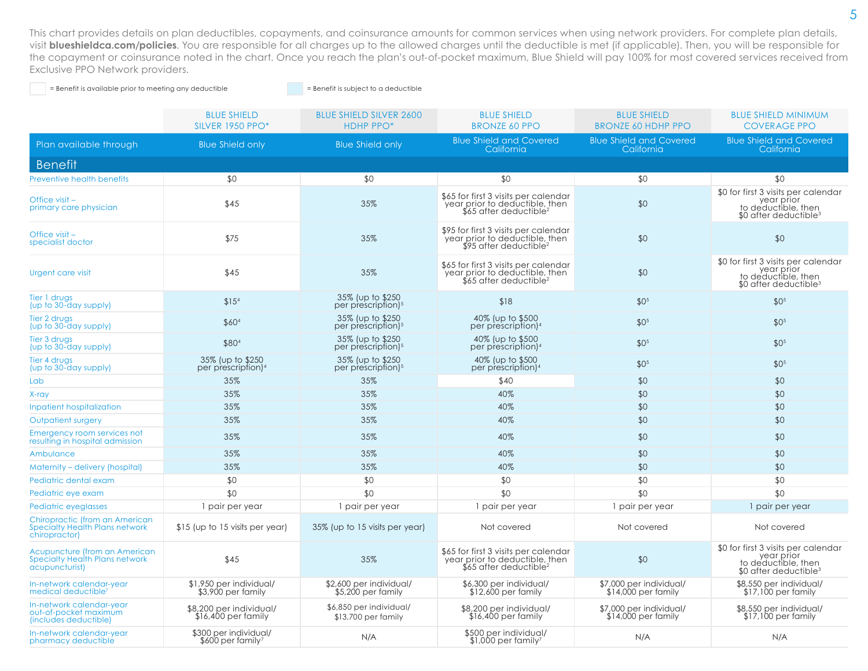This chart provides details on plan deductibles, copayments, and coinsurance amounts for common services when using network providers. For complete plan details, visit **[blueshieldca.com/policies](http://www.blueshieldca.com/policies)**. You are responsible for all charges up to the allowed charges until the deductible is met (if applicable). Then, you will be responsible for the copayment or coinsurance noted in the chart. Once you reach the plan's out-of-pocket maximum, Blue Shield will pay 100% for most covered services received from Exclusive PPO Network providers.

= Benefit is available prior to meeting any deductible = Benefit is subject to a deductible

|                                                                                   | <b>BLUE SHIELD</b><br><b>SILVER 1950 PPO*</b>          | <b>BLUE SHIELD SILVER 2600</b><br><b>HDHP PPO*</b>  | <b>BLUE SHIELD</b><br><b>BRONZE 60 PPO</b>                                                                    | <b>BLUE SHIELD</b><br><b>BRONZE 60 HDHP PPO</b> | <b>BLUE SHIELD MINIMUM</b><br><b>COVERAGE PPO</b>                                                              |
|-----------------------------------------------------------------------------------|--------------------------------------------------------|-----------------------------------------------------|---------------------------------------------------------------------------------------------------------------|-------------------------------------------------|----------------------------------------------------------------------------------------------------------------|
| Plan available through                                                            | <b>Blue Shield only</b>                                | <b>Blue Shield only</b>                             | <b>Blue Shield and Covered</b><br>California                                                                  | <b>Blue Shield and Covered</b><br>California    | <b>Blue Shield and Covered</b><br>California                                                                   |
| <b>Benefit</b>                                                                    |                                                        |                                                     |                                                                                                               |                                                 |                                                                                                                |
| <b>Preventive health benefits</b>                                                 | \$0                                                    | \$0                                                 | \$0                                                                                                           | \$0                                             | \$0                                                                                                            |
| Office visit-<br>primary care physician                                           | \$45                                                   | 35%                                                 | \$65 for first 3 visits per calendar<br>year prior to deductible, then<br>$$65$ after deductible <sup>2</sup> | \$0                                             | \$0 for first 3 visits per calendar<br>year prior<br>to deductible, then<br>$$0$ after deductible <sup>3</sup> |
| Office visit -<br>specialist doctor                                               | \$75                                                   | 35%                                                 | \$95 for first 3 visits per calendar<br>year prior to deductible, then<br>$$95$ after deductible <sup>2</sup> | \$0                                             | \$0                                                                                                            |
| <b>Urgent care visit</b>                                                          | \$45                                                   | 35%                                                 | \$65 for first 3 visits per calendar<br>year prior to deductible, then<br>\$65 after deductible <sup>2</sup>  | \$0                                             | \$0 for first 3 visits per calendar<br>year prior<br>to deductible, then<br>\$0 after deductible <sup>3</sup>  |
| Tier 1 drugs<br>(up to 30-day supply)                                             | \$15 <sup>4</sup>                                      | 35% (up to \$250)<br>per prescription) <sup>5</sup> | \$18                                                                                                          | \$0 <sup>5</sup>                                | \$0 <sup>5</sup>                                                                                               |
| Tier 2 drugs<br>(up to 30-day supply)                                             | \$604                                                  | 35% (up to \$250)<br>per prescription) <sup>5</sup> | 40% (up to \$500<br>per prescription) <sup>4</sup>                                                            | \$0 <sup>5</sup>                                | \$0 <sup>5</sup>                                                                                               |
| Tier 3 drugs<br>(up to 30-day supply)                                             | \$804                                                  | 35% (up to \$250)<br>per prescription) <sup>5</sup> | 40% (up to \$500<br>per prescription) <sup>4</sup>                                                            | \$0 <sup>5</sup>                                | \$0 <sup>5</sup>                                                                                               |
| Tier 4 drugs<br>(up to 30-day supply)                                             | 35% (up to \$250)<br>per prescription) <sup>4</sup>    | 35% (up to \$250)<br>per prescription) <sup>5</sup> | 40% (up to \$500)<br>per prescription) <sup>4</sup>                                                           | \$0 <sup>5</sup>                                | \$0 <sup>5</sup>                                                                                               |
| Lab                                                                               | 35%                                                    | 35%                                                 | \$40                                                                                                          | \$0                                             | \$0                                                                                                            |
| X-ray                                                                             | 35%                                                    | 35%                                                 | 40%                                                                                                           | \$0                                             | \$0                                                                                                            |
| <b>Inpatient hospitalization</b>                                                  | 35%                                                    | 35%                                                 | 40%                                                                                                           | \$0                                             | \$0                                                                                                            |
| Outpatient surgery                                                                | 35%                                                    | 35%                                                 | 40%                                                                                                           | \$0                                             | \$0                                                                                                            |
| Emergency room services not<br>resulting in hospital admission                    | 35%                                                    | 35%                                                 | 40%                                                                                                           | \$0                                             | \$0                                                                                                            |
| Ambulance                                                                         | 35%                                                    | 35%                                                 | 40%                                                                                                           | \$0                                             | \$0                                                                                                            |
| Maternity - delivery (hospital)                                                   | 35%                                                    | 35%                                                 | 40%                                                                                                           | \$0                                             | \$0                                                                                                            |
| Pediatric dental exam                                                             | \$0                                                    | \$0                                                 | \$0                                                                                                           | \$0                                             | \$0                                                                                                            |
| Pediatric eye exam                                                                | \$0                                                    | \$0                                                 | \$0                                                                                                           | \$0                                             | \$0                                                                                                            |
| Pediatric eyeglasses                                                              | 1 pair per year                                        | 1 pair per year                                     | 1 pair per year                                                                                               | 1 pair per year                                 | 1 pair per year                                                                                                |
| Chiropractic (from an American<br>Specialty Health Plans network<br>chiropractor) | \$15 (up to 15 visits per year)                        | 35% (up to 15 visits per year)                      | Not covered                                                                                                   | Not covered                                     | Not covered                                                                                                    |
| Acupuncture (from an American<br>Specialty Health Plans network<br>acupuncturist) | \$45                                                   | 35%                                                 | \$65 for first 3 visits per calendar<br>year prior to deductible, then<br>\$65 after deductible <sup>2</sup>  | \$0                                             | \$0 for first 3 visits per calendar<br>year prior<br>to deductible, then<br>\$0 after deductible <sup>3</sup>  |
| In-network calendar-year<br>medical deductible <sup>3</sup>                       | \$1,950 per individual/<br>\$3,900 per family          | \$2,600 per individual/<br>\$5,200 per family       | \$6,300 per individual/<br>$$12,600$ per family                                                               | \$7,000 per individual/<br>\$14,000 per family  | \$8,550 per individual/<br>\$17,100 per family                                                                 |
| In-network calendar-year<br>out-of-pocket maximum<br>(includes deductible)        | \$8,200 per individual/<br>\$16,400 per family         | \$6,850 per individual/<br>\$13,700 per family      | \$8,200 per individual/<br>$$16,400$ per family                                                               | \$7,000 per individual/<br>\$14,000 per family  | \$8,550 per individual/<br>$$17,100$ per family                                                                |
| In-network calendar-year<br>pharmacy deductible                                   | \$300 per individual/<br>\$600 per family <sup>7</sup> | N/A                                                 | \$500 per individual/<br>$$1.000$ per family <sup>7</sup>                                                     | N/A                                             | N/A                                                                                                            |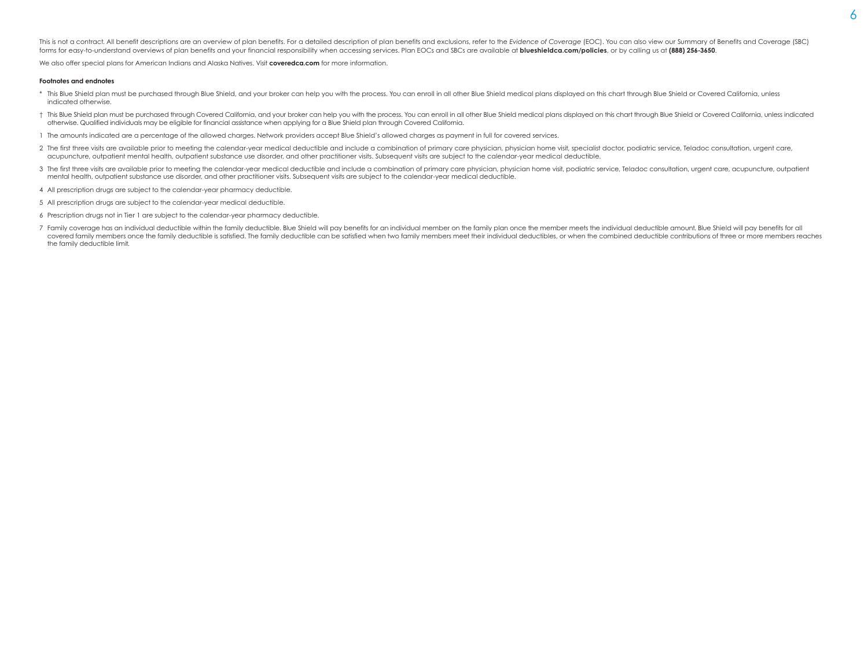This is not a contract. All benefit descriptions are an overview of plan benefits. For a detailed description of plan benefits and exclusions, refer to the Evidence of Coverage (EOC). You can also view our Summary of Benef forms for easy-to-understand overviews of plan benefits and your financial responsibility when accessing services. Plan EOCs and SBCs are available at [blueshieldca.com/policies](http://www.blueshieldca.com/policies), or by calling us at (888) 256-3650.

We also offer special plans for American Indians and Alaska Natives. Visit **[coveredca.com](http://www.coveredca.com)** for more information.

#### **Footnotes and endnotes**

- \* This Blue Shield plan must be purchased through Blue Shield, and your broker can help you with the process. You can enroll in all other Blue Shield medical plans displayed on this chart through Blue Shield or Covered Cal indicated otherwise.
- t This Blue Shield plan must be purchased through Covered California, and your broker can help you with the process. You can enroll in all other Blue Shield medical plans displayed on this chart through Blue Shield or Cove otherwise. Qualified individuals may be eligible for financial assistance when applying for a Blue Shield plan through Covered California.
- 1 The amounts indicated are a percentage of the allowed charges. Network providers accept Blue Shield's allowed charges as payment in full for covered services.
- 2 The first three visits are available prior to meeting the calendar-year medical deductible and include a combination of primary care physician, physician home visit, specialist doctor, podiatric service, Teladoc consulta acupuncture, outpatient mental health, outpatient substance use disorder, and other practitioner visits. Subsequent visits are subject to the calendar-year medical deductible.
- 3 The first three visits are available prior to meeting the calendar-year medical deductible and include a combination of primary care physician, physician home visit, podiatric service, Teladoc consultation, urgent care, mental health, outpatient substance use disorder, and other practitioner visits. Subsequent visits are subject to the calendar-year medical deductible.
- 4 All prescription drugs are subject to the calendar-year pharmacy deductible.
- 5 All prescription drugs are subject to the calendar-year medical deductible.
- 6 Prescription drugs not in Tier 1 are subject to the calendar-year pharmacy deductible.
- 7 Family coverage has an individual deductible within the family deductible. Blue Shield will pay benefits for an individual member on the family plan once the member meets the individual deductible amount. Blue Shield wil covered family members once the family deductible is satisfied. The family deductible can be satisfied when two family members meet their individual deductibles, or when the combined deductible contributions of three or mo the family deductible limit.